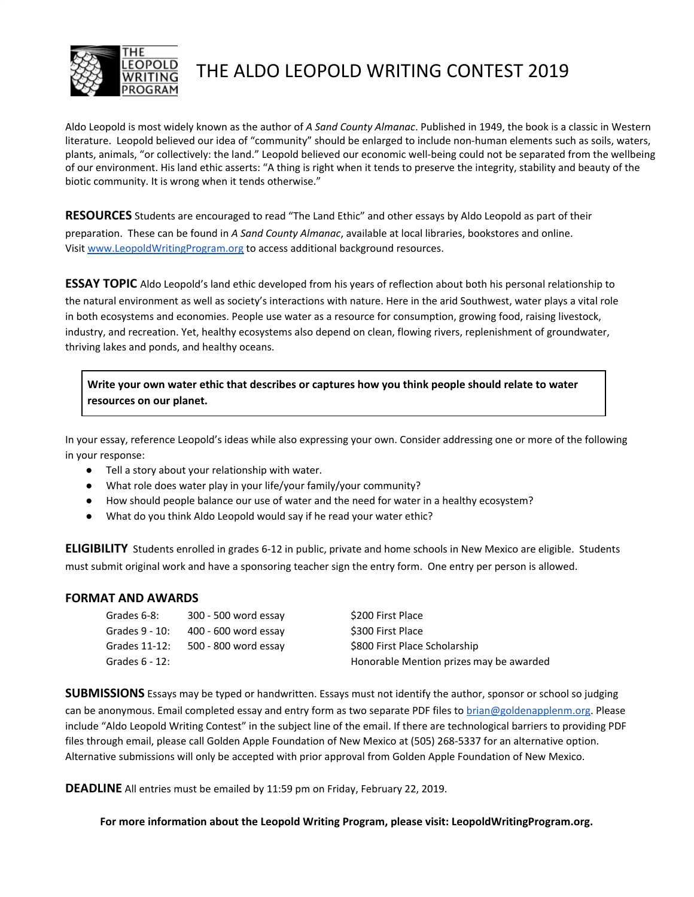

## THE ALDO LEOPOLD WRITING CONTEST 2019

Aldo Leopold is most widely known as the author of *A Sand County Almanac*. Published in 1949, the book is a classic in Western literature. Leopold believed our idea of "community" should be enlarged to include non-human elements such as soils, waters, plants, animals, "or collectively: the land." Leopold believed our economic well-being could not be separated from the wellbeing of our environment. His land ethic asserts: "A thing is right when it tends to preserve the integrity, stability and beauty of the biotic community. It is wrong when it tends otherwise."

**RESOURCES** Students are encouraged to read "The Land Ethic" and other essays by Aldo Leopold as part of their preparation. These can be found in *A Sand County Almanac*, available at local libraries, bookstores and online. Visit [www.LeopoldWritingProgram.org](http://www.leopoldwritingprogram.org/) to access additional background resources.

**ESSAY TOPIC** Aldo Leopold's land ethic developed from his years of reflection about both his personal relationship to the natural environment as well as society's interactions with nature. Here in the arid Southwest, water plays a vital role in both ecosystems and economies. People use water as a resource for consumption, growing food, raising livestock, industry, and recreation. Yet, healthy ecosystems also depend on clean, flowing rivers, replenishment of groundwater, thriving lakes and ponds, and healthy oceans.

**Write your own water ethic that describes or captures how you think people should relate to water resources on our planet.**

In your essay, reference Leopold's ideas while also expressing your own. Consider addressing one or more of the following in your response:

- Tell a story about your relationship with water.
- What role does water play in your life/your family/your community?
- How should people balance our use of water and the need for water in a healthy ecosystem?
- What do you think Aldo Leopold would say if he read your water ethic?

**ELIGIBILITY** Students enrolled in grades 6-12 in public, private and home schools in New Mexico are eligible. Students must submit original work and have a sponsoring teacher sign the entry form. One entry per person is allowed.

## **FORMAT AND AWARDS**

| Grades 6-8:       | 300 - 500 word essay | \$200 First Place                       |
|-------------------|----------------------|-----------------------------------------|
| Grades 9 - 10:    | 400 - 600 word essay | \$300 First Place                       |
| Grades 11-12:     | 500 - 800 word essay | \$800 First Place Scholarship           |
| Grades $6 - 12$ : |                      | Honorable Mention prizes may be awarded |

**SUBMISSIONS** Essays may be typed or handwritten. Essays must not identify the author, sponsor or school so judging can be anonymous. Email completed essay and entry form as two separate PDF files to [brian@goldenapplenm.org](mailto:brian@goldenapplenm.org). Please include "Aldo Leopold Writing Contest" in the subject line of the email. If there are technological barriers to providing PDF files through email, please call Golden Apple Foundation of New Mexico at (505) 268-5337 for an alternative option. Alternative submissions will only be accepted with prior approval from Golden Apple Foundation of New Mexico.

**DEADLINE** All entries must be emailed by 11:59 pm on Friday, February 22, 2019.

**For more information about the Leopold Writing Program, please visit: LeopoldWritingProgram.org.**